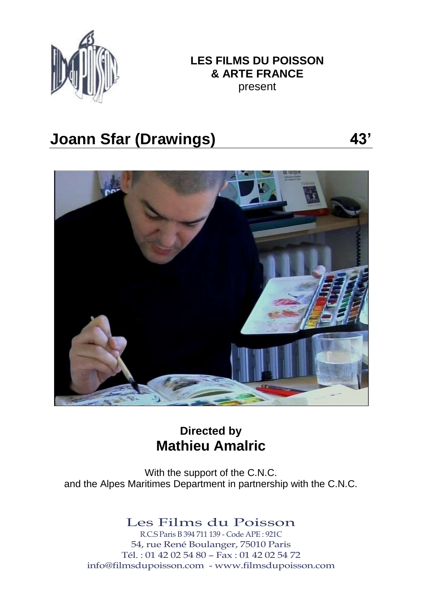

# **LES FILMS DU POISSON & ARTE FRANCE**

present

# **Joann Sfar (Drawings) 43'**



# **Directed by Mathieu Amalric**

With the support of the C.N.C. and the Alpes Maritimes Department in partnership with the C.N.C.

## Les Films du Poisson

R.C.S Paris B 394 711 139 - Code APE : 921C 54, rue René Boulanger, 75010 Paris Tél. : 01 42 02 54 80 – Fax : 01 42 02 54 72 info@filmsdupoisson.com - www.filmsdupoisson.com